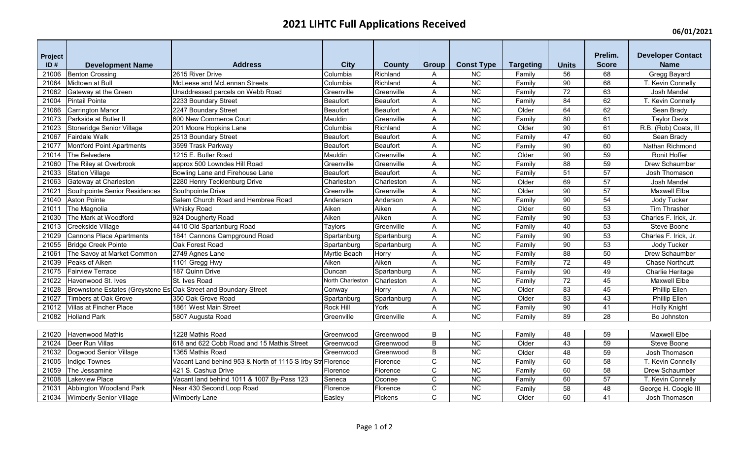## **2021 LIHTC Full Applications Received**

**06/01/2021**

| Project |                                                                 |                                                            |                  |                 |              |                   |                  |                 | Prelim.         | <b>Developer Contact</b> |
|---------|-----------------------------------------------------------------|------------------------------------------------------------|------------------|-----------------|--------------|-------------------|------------------|-----------------|-----------------|--------------------------|
| ID#     | <b>Development Name</b>                                         | <b>Address</b>                                             | <b>City</b>      | <b>County</b>   | Group        | <b>Const Type</b> | <b>Targeting</b> | <b>Units</b>    | <b>Score</b>    | <b>Name</b>              |
| 21006   | <b>Benton Crossing</b>                                          | 2615 River Drive                                           | Columbia         | Richland        | A            | <b>NC</b>         | Family           | 56              | 68              | Gregg Bayard             |
| 21064   | Midtown at Bull                                                 | McLeese and McLennan Streets                               | Columbia         | Richland        | A            | NC                | Family           | $\overline{90}$ | $\overline{68}$ | T. Kevin Connelly        |
| 21062   | Gateway at the Green                                            | Unaddressed parcels on Webb Road                           | Greenville       | Greenville      | A            | NC                | Family           | 72              | 63              | Josh Mandel              |
| 21004   | <b>Pintail Pointe</b>                                           | 2233 Boundary Street                                       | Beaufort         | <b>Beaufort</b> | Α            | <b>NC</b>         | Family           | 84              | 62              | T. Kevin Connelly        |
| 21066   | <b>Carrington Manor</b>                                         | 2247 Boundary Street                                       | Beaufort         | <b>Beaufort</b> | A            | NC                | Older            | 64              | 62              | Sean Brady               |
| 21073   | Parkside at Butler II                                           | 600 New Commerce Court                                     | Mauldin          | Greenville      | A            | $\overline{NC}$   | Family           | 80              | 61              | <b>Taylor Davis</b>      |
| 21023   | Stoneridge Senior Village                                       | 201 Moore Hopkins Lane                                     | Columbia         | Richland        | A            | $\overline{NC}$   | Older            | $\overline{90}$ | 61              | R.B. (Rob) Coats, III    |
| 21067   | <b>Fairdale Walk</b>                                            | 2513 Boundary Street                                       | Beaufort         | <b>Beaufort</b> | A            | <b>NC</b>         | Family           | 47              | 60              | Sean Brady               |
| 21077   | Montford Point Apartments                                       | 3599 Trask Parkway                                         | Beaufort         | Beaufort        | A            | NC                | Family           | 90              | 60              | Nathan Richmond          |
| 21014   | The Belvedere                                                   | 1215 E. Butler Road                                        | Mauldin          | Greenville      | A            | $\overline{NC}$   | Older            | $\overline{90}$ | 59              | Ronit Hoffer             |
| 21060   | The Riley at Overbrook                                          | approx 500 Lowndes Hill Road                               | Greenville       | Greenville      | A            | <b>NC</b>         | Family           | 88              | 59              | Drew Schaumber           |
| 21033   | <b>Station Village</b>                                          | Bowling Lane and Firehouse Lane                            | Beaufort         | Beaufort        | A            | $\overline{NC}$   | Family           | 51              | 57              | Josh Thomason            |
| 21063   | Gateway at Charleston                                           | 2280 Henry Tecklenburg Drive                               | Charleston       | Charleston      | A            | $\overline{NC}$   | Older            | 69              | $\overline{57}$ | Josh Mandel              |
| 21021   | Southpointe Senior Residences                                   | Southpointe Drive                                          | Greenville       | Greenville      | A            | <b>NC</b>         | Older            | 90              | 57              | Maxwell Elbe             |
| 21040   | <b>Aston Pointe</b>                                             | Salem Church Road and Hembree Road                         | Anderson         | Anderson        | A            | NC                | Family           | 90              | 54              | Jody Tucker              |
| 21011   | The Magnolia                                                    | <b>Whisky Road</b>                                         | Aiken            | Aiken           | A            | NC                | Older            | 60              | 53              | Tim Thrasher             |
| 21030   | The Mark at Woodford                                            | 924 Dougherty Road                                         | Aiken            | Aiken           | A            | NC                | Family           | $90\,$          | 53              | Charles F. Irick, Jr.    |
| 21013   | Creekside Village                                               | 4410 Old Spartanburg Road                                  | Taylors          | Greenville      | A            | $\overline{NC}$   | Family           | 40              | $\overline{53}$ | Steve Boone              |
| 21029   | Cannons Place Apartments                                        | 1841 Cannons Campground Road                               | Spartanburg      | Spartanburg     | Α            | NC                | Family           | 90              | 53              | Charles F. Irick, Jr.    |
| 21055   | <b>Bridge Creek Pointe</b>                                      | Oak Forest Road                                            | Spartanburg      | Spartanburg     | A            | NC                | Family           | 90              | 53              | Jody Tucker              |
| 21061   | The Savoy at Market Common                                      | 2749 Agnes Lane                                            | Myrtle Beach     | Horry           | A            | NC                | Family           | $\overline{88}$ | 50              | Drew Schaumber           |
| 21039   | Peaks of Aiken                                                  | 1101 Gregg Hwy                                             | Aiken            | Aiken           | A            | $\overline{NC}$   | Family           | $\overline{72}$ | 49              | <b>Chase Northcutt</b>   |
| 21075   | <b>Fairview Terrace</b>                                         | 187 Quinn Drive                                            | Duncan           | Spartanburg     | A            | <b>NC</b>         | Family           | 90              | 49              | Charlie Heritage         |
| 21022   | Havenwood St. Ives                                              | St. Ives Road                                              | North Charleston | Charleston      | A            | NC                | Family           | $\overline{72}$ | 45              | <b>Maxwell Elbe</b>      |
| 21028   | Brownstone Estates (Greystone Es Oak Street and Boundary Street |                                                            | Conway           | Horry           | A            | <b>NC</b>         | Older            | 83              | 45              | <b>Phillip Ellen</b>     |
| 21027   | Timbers at Oak Grove                                            | 350 Oak Grove Road                                         | Spartanburg      | Spartanburg     | Α            | <b>NC</b>         | Older            | 83              | 43              | Phillip Ellen            |
| 21012   | <b>Villas at Fincher Place</b>                                  | 1861 West Main Street                                      | Rock Hill        | York            | Α            | NC                | Family           | 90              | 41              | <b>Holly Knight</b>      |
| 21082   | <b>Holland Park</b>                                             | 5807 Augusta Road                                          | Greenville       | Greenville      | A            | <b>NC</b>         | Family           | 89              | 28              | Bo Johnston              |
|         |                                                                 |                                                            |                  |                 |              |                   |                  |                 |                 |                          |
| 21020   | Havenwood Mathis                                                | 1228 Mathis Road                                           | Greenwood        | Greenwood       | B            | $\overline{NC}$   | Family           | 48              | 59              | <b>Maxwell Elbe</b>      |
| 21024   | Deer Run Villas                                                 | 618 and 622 Cobb Road and 15 Mathis Street                 | Greenwood        | Greenwood       | B            | $\overline{NC}$   | Older            | 43              | $\overline{59}$ | Steve Boone              |
| 21032   | Dogwood Senior Village                                          | 1365 Mathis Road                                           | Greenwood        | Greenwood       | B            | $\overline{NC}$   | Older            | 48              | 59              | Josh Thomason            |
| 21005   | Indigo Townes                                                   | Vacant Land behind 953 & North of 1115 S Irby Str Florence |                  | Florence        | $\mathsf C$  | $\overline{NC}$   | Family           | 60              | $\overline{58}$ | T. Kevin Connelly        |
| 21059   | The Jessamine                                                   | 421 S. Cashua Drive                                        | Florence         | Florence        | $\mathsf{C}$ | <b>NC</b>         | Family           | 60              | 58              | Drew Schaumber           |
| 21008   | Lakeview Place                                                  | Vacant land behind 1011 & 1007 By-Pass 123                 | Seneca           | Oconee          | C            | <b>NC</b>         | Family           | 60              | 57              | T. Kevin Connelly        |
| 21031   | Abbington Woodland Park                                         | Near 430 Second Loop Road                                  | Florence         | Florence        | $\mathsf{C}$ | $\overline{NC}$   | Family           | 58              | 48              | George H. Coogle III     |
| 21034   | <b>Wimberly Senior Village</b>                                  | <b>Wimberly Lane</b>                                       | Easley           | Pickens         | $\mathsf{C}$ | $\overline{NC}$   | Older            | 60              | 41              | Josh Thomason            |